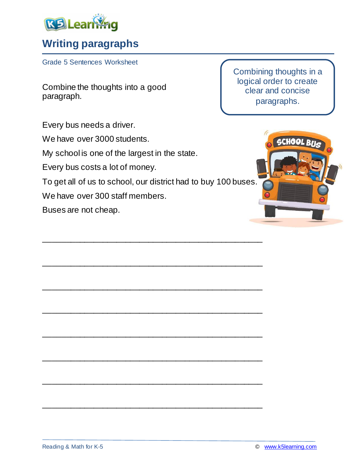

## **Writing paragraphs**

Grade 5 Sentences Worksheet

Combine the thoughts into a good paragraph.

Every bus needs a driver.

We have over 3000 students.

My school is one of the largest in the state.

Every bus costs a lot of money.

To get all of us to school, our district had to buy 100 buses.

\_\_\_\_\_\_\_\_\_\_\_\_\_\_\_\_\_\_\_\_\_\_\_\_\_\_\_\_\_\_\_\_\_\_\_\_\_\_\_\_\_\_\_\_\_\_\_\_

\_\_\_\_\_\_\_\_\_\_\_\_\_\_\_\_\_\_\_\_\_\_\_\_\_\_\_\_\_\_\_\_\_\_\_\_\_\_\_\_\_\_\_\_\_\_\_\_

\_\_\_\_\_\_\_\_\_\_\_\_\_\_\_\_\_\_\_\_\_\_\_\_\_\_\_\_\_\_\_\_\_\_\_\_\_\_\_\_\_\_\_\_\_\_\_\_

\_\_\_\_\_\_\_\_\_\_\_\_\_\_\_\_\_\_\_\_\_\_\_\_\_\_\_\_\_\_\_\_\_\_\_\_\_\_\_\_\_\_\_\_\_\_\_\_

\_\_\_\_\_\_\_\_\_\_\_\_\_\_\_\_\_\_\_\_\_\_\_\_\_\_\_\_\_\_\_\_\_\_\_\_\_\_\_\_\_\_\_\_\_\_\_\_

\_\_\_\_\_\_\_\_\_\_\_\_\_\_\_\_\_\_\_\_\_\_\_\_\_\_\_\_\_\_\_\_\_\_\_\_\_\_\_\_\_\_\_\_\_\_\_\_

\_\_\_\_\_\_\_\_\_\_\_\_\_\_\_\_\_\_\_\_\_\_\_\_\_\_\_\_\_\_\_\_\_\_\_\_\_\_\_\_\_\_\_\_\_\_\_\_

\_\_\_\_\_\_\_\_\_\_\_\_\_\_\_\_\_\_\_\_\_\_\_\_\_\_\_\_\_\_\_\_\_\_\_\_\_\_\_\_\_\_\_\_\_\_\_\_

We have over 300 staff members.

Buses are not cheap.

Combining thoughts in a logical order to create clear and concise paragraphs.